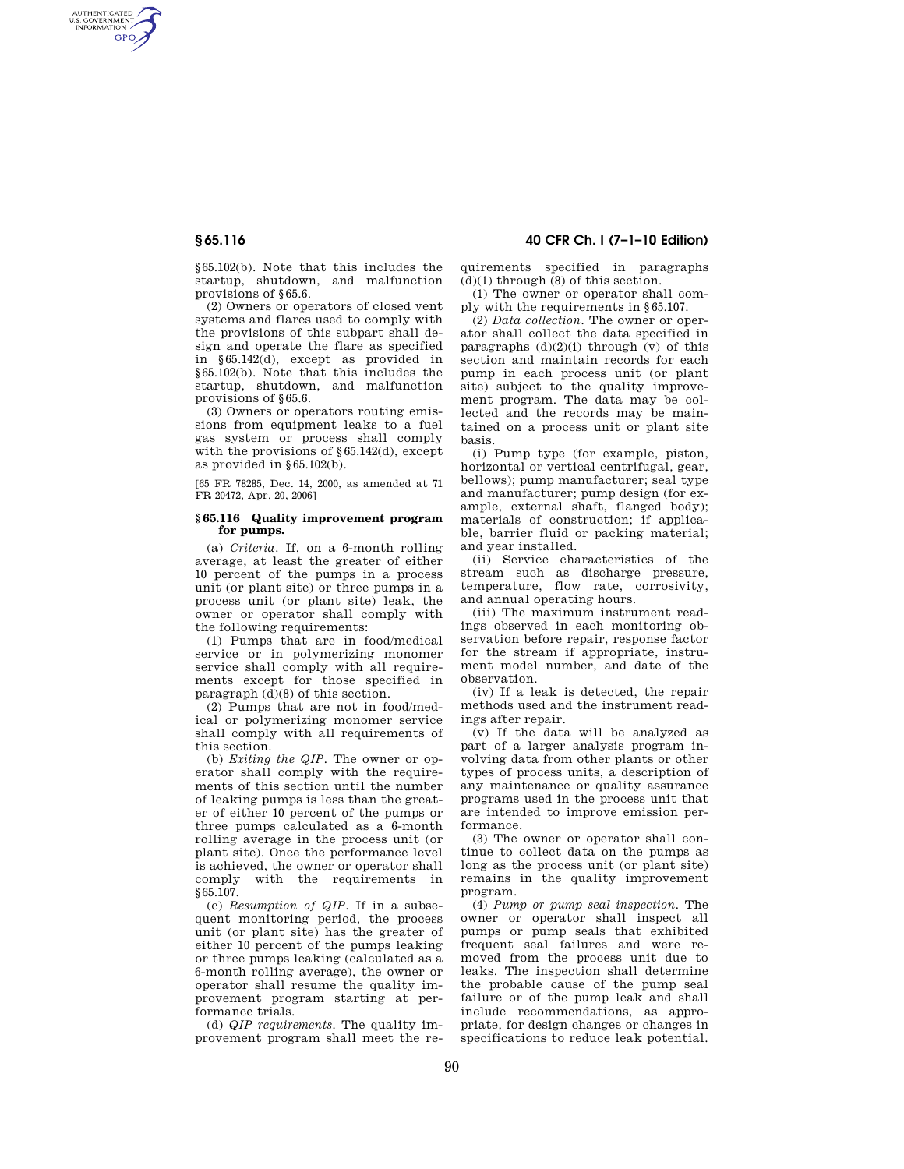AUTHENTICATED<br>U.S. GOVERNMENT<br>INFORMATION **GPO** 

> §65.102(b). Note that this includes the startup, shutdown, and malfunction provisions of §65.6.

> (2) Owners or operators of closed vent systems and flares used to comply with the provisions of this subpart shall design and operate the flare as specified in §65.142(d), except as provided in §65.102(b). Note that this includes the startup, shutdown, and malfunction provisions of §65.6.

> (3) Owners or operators routing emissions from equipment leaks to a fuel gas system or process shall comply with the provisions of §65.142(d), except as provided in §65.102(b).

> [65 FR 78285, Dec. 14, 2000, as amended at 71 FR 20472, Apr. 20, 2006]

### **§ 65.116 Quality improvement program for pumps.**

(a) *Criteria.* If, on a 6-month rolling average, at least the greater of either 10 percent of the pumps in a process unit (or plant site) or three pumps in a process unit (or plant site) leak, the owner or operator shall comply with the following requirements:

(1) Pumps that are in food/medical service or in polymerizing monomer service shall comply with all requirements except for those specified in paragraph  $(d)(8)$  of this section.

(2) Pumps that are not in food/medical or polymerizing monomer service shall comply with all requirements of this section.

(b) *Exiting the QIP.* The owner or operator shall comply with the requirements of this section until the number of leaking pumps is less than the greater of either 10 percent of the pumps or three pumps calculated as a 6-month rolling average in the process unit (or plant site). Once the performance level is achieved, the owner or operator shall comply with the requirements in  $§65.107.$ 

(c) *Resumption of QIP.* If in a subsequent monitoring period, the process unit (or plant site) has the greater of either 10 percent of the pumps leaking or three pumps leaking (calculated as a 6-month rolling average), the owner or operator shall resume the quality improvement program starting at performance trials.

(d) *QIP requirements.* The quality improvement program shall meet the re-

# **§ 65.116 40 CFR Ch. I (7–1–10 Edition)**

quirements specified in paragraphs  $(d)(1)$  through  $(8)$  of this section.

(1) The owner or operator shall comply with the requirements in §65.107.

(2) *Data collection.* The owner or operator shall collect the data specified in paragraphs  $(d)(2)(i)$  through  $(v)$  of this section and maintain records for each pump in each process unit (or plant site) subject to the quality improvement program. The data may be collected and the records may be maintained on a process unit or plant site basis.

(i) Pump type (for example, piston, horizontal or vertical centrifugal, gear, bellows); pump manufacturer; seal type and manufacturer; pump design (for example, external shaft, flanged body); materials of construction; if applicable, barrier fluid or packing material; and year installed.

(ii) Service characteristics of the stream such as discharge pressure, temperature, flow rate, corrosivity, and annual operating hours.

(iii) The maximum instrument readings observed in each monitoring observation before repair, response factor for the stream if appropriate, instrument model number, and date of the observation.

(iv) If a leak is detected, the repair methods used and the instrument readings after repair.

(v) If the data will be analyzed as part of a larger analysis program involving data from other plants or other types of process units, a description of any maintenance or quality assurance programs used in the process unit that are intended to improve emission performance.

(3) The owner or operator shall continue to collect data on the pumps as long as the process unit (or plant site) remains in the quality improvement program.

(4) *Pump or pump seal inspection.* The owner or operator shall inspect all pumps or pump seals that exhibited frequent seal failures and were removed from the process unit due to leaks. The inspection shall determine the probable cause of the pump seal failure or of the pump leak and shall include recommendations, as appropriate, for design changes or changes in specifications to reduce leak potential.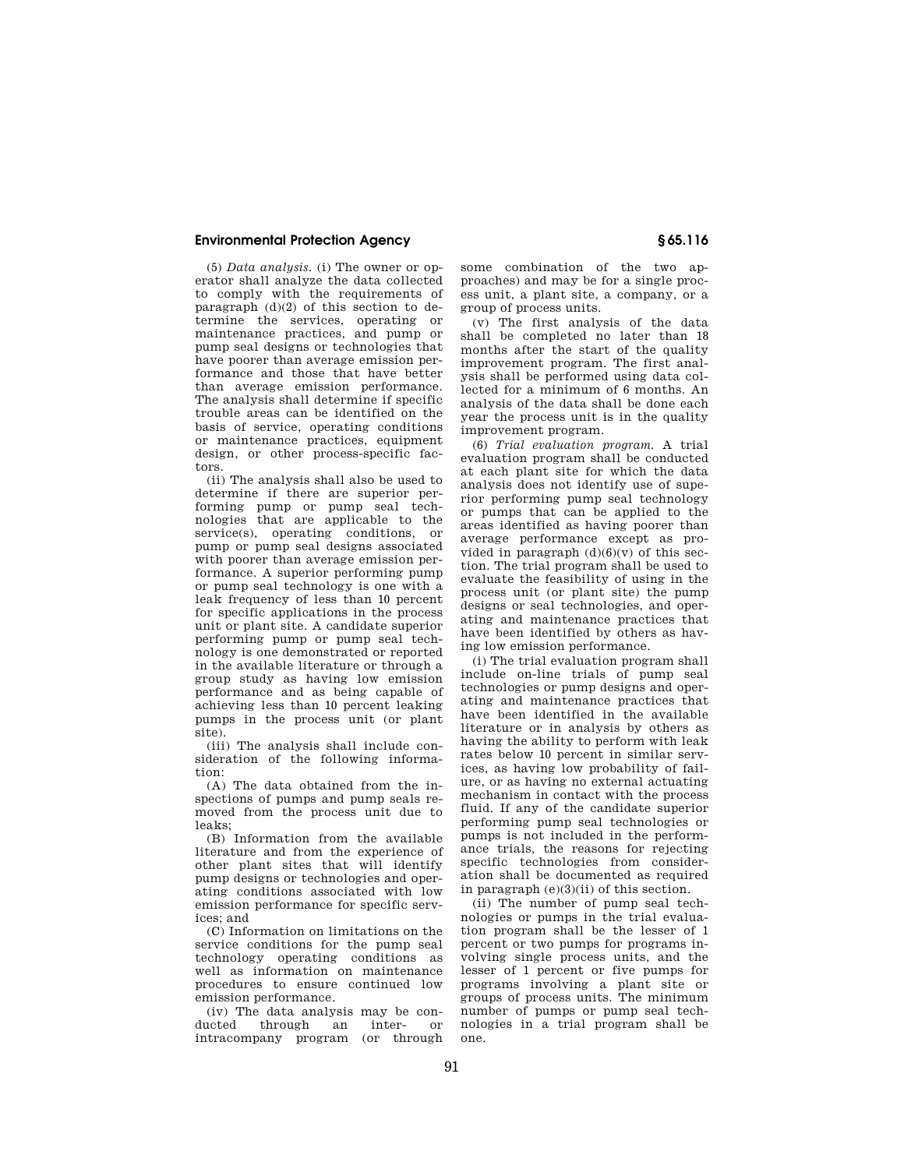## **Environmental Protection Agency § 65.116**

(5) *Data analysis.* (i) The owner or operator shall analyze the data collected to comply with the requirements of paragraph (d)(2) of this section to determine the services, operating or maintenance practices, and pump or pump seal designs or technologies that have poorer than average emission performance and those that have better than average emission performance. The analysis shall determine if specific trouble areas can be identified on the basis of service, operating conditions or maintenance practices, equipment design, or other process-specific factors.

(ii) The analysis shall also be used to determine if there are superior performing pump or pump seal technologies that are applicable to the service(s), operating conditions, or pump or pump seal designs associated with poorer than average emission performance. A superior performing pump or pump seal technology is one with a leak frequency of less than 10 percent for specific applications in the process unit or plant site. A candidate superior performing pump or pump seal technology is one demonstrated or reported in the available literature or through a group study as having low emission performance and as being capable of achieving less than 10 percent leaking pumps in the process unit (or plant site).

(iii) The analysis shall include consideration of the following information:

(A) The data obtained from the inspections of pumps and pump seals removed from the process unit due to leaks;

(B) Information from the available literature and from the experience of other plant sites that will identify pump designs or technologies and operating conditions associated with low emission performance for specific services; and

(C) Information on limitations on the service conditions for the pump seal technology operating conditions as well as information on maintenance procedures to ensure continued low emission performance.

(iv) The data analysis may be con-<br>ducted through an inter- or through an inter- or intracompany program (or through some combination of the two approaches) and may be for a single process unit, a plant site, a company, or a group of process units.

(v) The first analysis of the data shall be completed no later than 18 months after the start of the quality improvement program. The first analysis shall be performed using data collected for a minimum of 6 months. An analysis of the data shall be done each year the process unit is in the quality improvement program.

(6) *Trial evaluation program.* A trial evaluation program shall be conducted at each plant site for which the data analysis does not identify use of superior performing pump seal technology or pumps that can be applied to the areas identified as having poorer than average performance except as provided in paragraph  $(d)(6)(v)$  of this section. The trial program shall be used to evaluate the feasibility of using in the process unit (or plant site) the pump designs or seal technologies, and operating and maintenance practices that have been identified by others as having low emission performance.

(i) The trial evaluation program shall include on-line trials of pump seal technologies or pump designs and operating and maintenance practices that have been identified in the available literature or in analysis by others as having the ability to perform with leak rates below 10 percent in similar services, as having low probability of failure, or as having no external actuating mechanism in contact with the process fluid. If any of the candidate superior performing pump seal technologies or pumps is not included in the performance trials, the reasons for rejecting specific technologies from consideration shall be documented as required in paragraph (e)(3)(ii) of this section.

(ii) The number of pump seal technologies or pumps in the trial evaluation program shall be the lesser of 1 percent or two pumps for programs involving single process units, and the lesser of 1 percent or five pumps for programs involving a plant site or groups of process units. The minimum number of pumps or pump seal technologies in a trial program shall be one.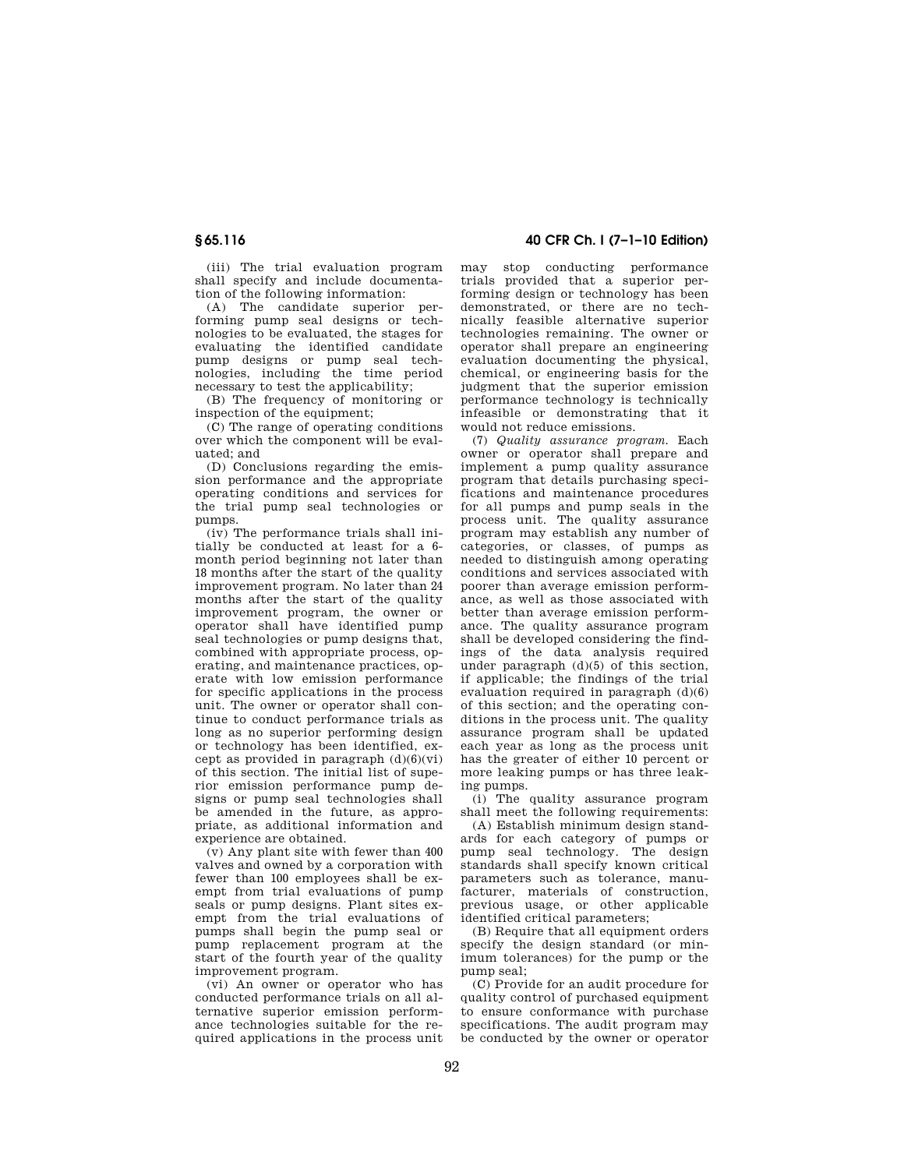(iii) The trial evaluation program shall specify and include documentation of the following information:

(A) The candidate superior performing pump seal designs or technologies to be evaluated, the stages for evaluating the identified candidate pump designs or pump seal technologies, including the time period necessary to test the applicability;

(B) The frequency of monitoring or inspection of the equipment;

(C) The range of operating conditions over which the component will be evaluated; and

(D) Conclusions regarding the emission performance and the appropriate operating conditions and services for the trial pump seal technologies or pumps.

(iv) The performance trials shall initially be conducted at least for a 6 month period beginning not later than 18 months after the start of the quality improvement program. No later than 24 months after the start of the quality improvement program, the owner or operator shall have identified pump seal technologies or pump designs that, combined with appropriate process, operating, and maintenance practices, operate with low emission performance for specific applications in the process unit. The owner or operator shall continue to conduct performance trials as long as no superior performing design or technology has been identified, except as provided in paragraph  $(d)(6)(vi)$ of this section. The initial list of superior emission performance pump designs or pump seal technologies shall be amended in the future, as appropriate, as additional information and experience are obtained.

(v) Any plant site with fewer than 400 valves and owned by a corporation with fewer than 100 employees shall be exempt from trial evaluations of pump seals or pump designs. Plant sites exempt from the trial evaluations of pumps shall begin the pump seal or pump replacement program at the start of the fourth year of the quality improvement program.

(vi) An owner or operator who has conducted performance trials on all alternative superior emission performance technologies suitable for the required applications in the process unit

# **§ 65.116 40 CFR Ch. I (7–1–10 Edition)**

may stop conducting performance trials provided that a superior performing design or technology has been demonstrated, or there are no technically feasible alternative superior technologies remaining. The owner or operator shall prepare an engineering evaluation documenting the physical, chemical, or engineering basis for the judgment that the superior emission performance technology is technically infeasible or demonstrating that it would not reduce emissions.

(7) *Quality assurance program.* Each owner or operator shall prepare and implement a pump quality assurance program that details purchasing specifications and maintenance procedures for all pumps and pump seals in the process unit. The quality assurance program may establish any number of categories, or classes, of pumps as needed to distinguish among operating conditions and services associated with poorer than average emission performance, as well as those associated with better than average emission performance. The quality assurance program shall be developed considering the findings of the data analysis required under paragraph (d)(5) of this section, if applicable; the findings of the trial evaluation required in paragraph (d)(6) of this section; and the operating conditions in the process unit. The quality assurance program shall be updated each year as long as the process unit has the greater of either 10 percent or more leaking pumps or has three leaking pumps.

(i) The quality assurance program shall meet the following requirements:

(A) Establish minimum design standards for each category of pumps or pump seal technology. The design standards shall specify known critical parameters such as tolerance, manufacturer, materials of construction, previous usage, or other applicable identified critical parameters;

(B) Require that all equipment orders specify the design standard (or minimum tolerances) for the pump or the pump seal;

(C) Provide for an audit procedure for quality control of purchased equipment to ensure conformance with purchase specifications. The audit program may be conducted by the owner or operator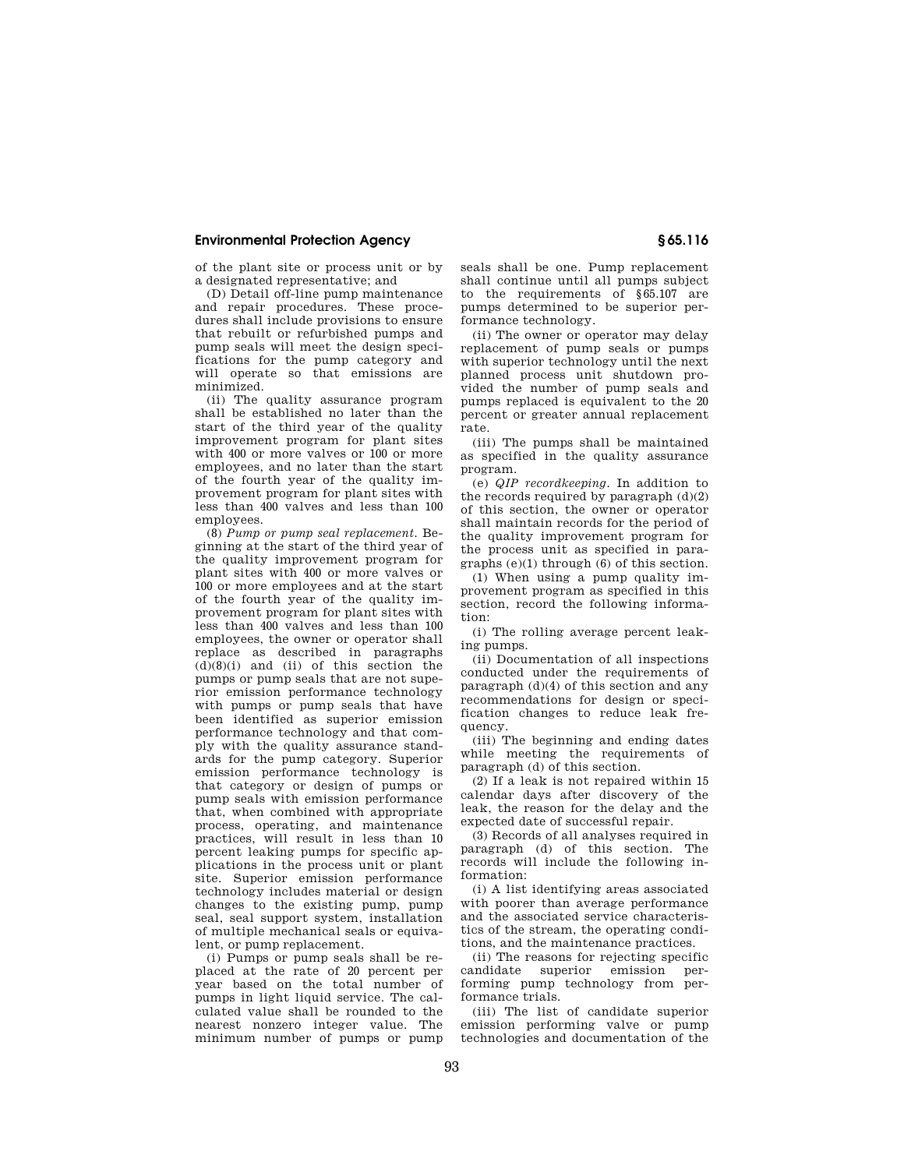## **Environmental Protection Agency § 65.116**

of the plant site or process unit or by a designated representative; and

(D) Detail off-line pump maintenance and repair procedures. These procedures shall include provisions to ensure that rebuilt or refurbished pumps and pump seals will meet the design specifications for the pump category and will operate so that emissions are minimized.

(ii) The quality assurance program shall be established no later than the start of the third year of the quality improvement program for plant sites with 400 or more valves or 100 or more employees, and no later than the start of the fourth year of the quality improvement program for plant sites with less than 400 valves and less than 100 employees.

(8) *Pump or pump seal replacement.* Beginning at the start of the third year of the quality improvement program for plant sites with 400 or more valves or 100 or more employees and at the start of the fourth year of the quality improvement program for plant sites with less than 400 valves and less than 100 employees, the owner or operator shall replace as described in paragraphs  $(d)(8)(i)$  and (ii) of this section the pumps or pump seals that are not superior emission performance technology with pumps or pump seals that have been identified as superior emission performance technology and that comply with the quality assurance standards for the pump category. Superior emission performance technology is that category or design of pumps or pump seals with emission performance that, when combined with appropriate process, operating, and maintenance practices, will result in less than 10 percent leaking pumps for specific applications in the process unit or plant site. Superior emission performance technology includes material or design changes to the existing pump, pump seal, seal support system, installation of multiple mechanical seals or equivalent, or pump replacement.

(i) Pumps or pump seals shall be replaced at the rate of 20 percent per year based on the total number of pumps in light liquid service. The calculated value shall be rounded to the nearest nonzero integer value. The minimum number of pumps or pump seals shall be one. Pump replacement shall continue until all pumps subject to the requirements of §65.107 are pumps determined to be superior performance technology.

(ii) The owner or operator may delay replacement of pump seals or pumps with superior technology until the next planned process unit shutdown provided the number of pump seals and pumps replaced is equivalent to the 20 percent or greater annual replacement rate.

(iii) The pumps shall be maintained as specified in the quality assurance program.

(e) *QIP recordkeeping.* In addition to the records required by paragraph  $(d)(2)$ of this section, the owner or operator shall maintain records for the period of the quality improvement program for the process unit as specified in paragraphs (e)(1) through (6) of this section.

(1) When using a pump quality improvement program as specified in this section, record the following information:

(i) The rolling average percent leaking pumps.

(ii) Documentation of all inspections conducted under the requirements of paragraph (d)(4) of this section and any recommendations for design or specification changes to reduce leak frequency.

(iii) The beginning and ending dates while meeting the requirements of paragraph (d) of this section.

(2) If a leak is not repaired within 15 calendar days after discovery of the leak, the reason for the delay and the expected date of successful repair.

(3) Records of all analyses required in paragraph (d) of this section. The records will include the following information:

(i) A list identifying areas associated with poorer than average performance and the associated service characteristics of the stream, the operating conditions, and the maintenance practices.

(ii) The reasons for rejecting specific candidate superior emission performing pump technology from performance trials.

(iii) The list of candidate superior emission performing valve or pump technologies and documentation of the